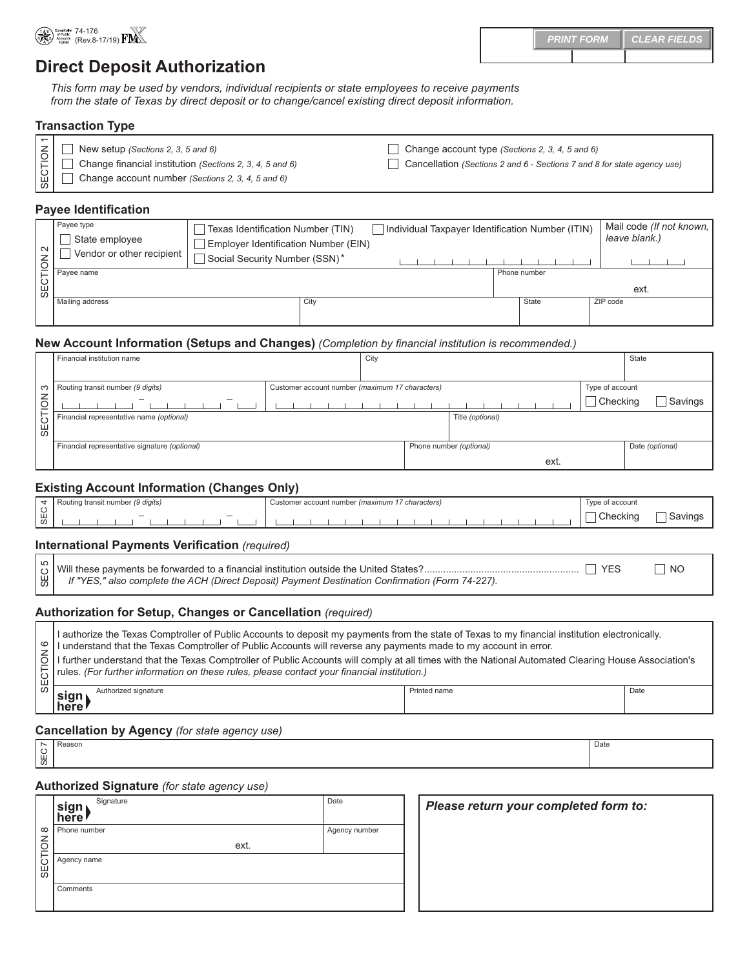

74-176<br>(Rev.8-17/19) F<u>D</u> **PRINT FORM CLEAR FIELDS**

# **Direct Deposit Authorization**

*This form may be used by vendors, individual recipients or state employees to receive payments from the state of Texas by direct deposit or to change/cancel existing direct deposit information.*

# **Transaction Type**

| New setup (Sections 2, 3, 5 and 6)                                                                   | Change account type (Sections 2, 3, 4, 5 and 6)                         |
|------------------------------------------------------------------------------------------------------|-------------------------------------------------------------------------|
| $\left \frac{1}{2}\right $ $\frac{1}{2}$<br>Change financial institution (Sections 2, 3, 4, 5 and 6) | Cancellation (Sections 2 and 6 - Sections 7 and 8 for state agency use) |
| $\lfloor \frac{\omega}{\omega} \rfloor$ $\Box$<br>Change account number (Sections 2, 3, 4, 5 and 6)  |                                                                         |

## **Payee Identification**

| $\sim$       | Payee type<br>State employee | Texas Identification Number (TIN)<br>Employer Identification Number (EIN) | Individual Taxpayer Identification Number (ITIN) |              |       | Mail code (If not known,<br>leave blank.) |
|--------------|------------------------------|---------------------------------------------------------------------------|--------------------------------------------------|--------------|-------|-------------------------------------------|
| ıδ           | Vendor or other recipient    | Social Security Number (SSN)*                                             |                                                  |              |       |                                           |
|              | Payee name                   |                                                                           |                                                  | Phone number |       |                                           |
| <b>SECTI</b> |                              |                                                                           |                                                  |              |       | ext.                                      |
|              | Mailing address              | City                                                                      |                                                  |              | State | ZIP code                                  |
|              |                              |                                                                           |                                                  |              |       |                                           |

## **New Account Information (Setups and Changes)** *(Completion by financial institution is recommended.)*

|        | Financial institution name                                                                                              | City |  |                                 |                             | State           |
|--------|-------------------------------------------------------------------------------------------------------------------------|------|--|---------------------------------|-----------------------------|-----------------|
| $\leq$ | $\sim$ Routing transit number (9 digits)<br>Customer account number (maximum 17 characters)<br>$\overline{\phantom{a}}$ |      |  |                                 | Type of account<br>Checking | Savings         |
|        | Financial representative name (optional)<br>$\begin{bmatrix} 1 \\ 0 \\ 0 \end{bmatrix}$                                 |      |  | Title (optional)                |                             |                 |
|        | Financial representative signature (optional)                                                                           |      |  | Phone number (optional)<br>ext. |                             | Date (optional) |

# **Existing Account Information (Changes Only)**

|        | <sup>.</sup> (9 digits)<br>ı transıt number<br>Routing | $\rightarrow$<br>' characters.<br>(maximum<br>r account numbe<br>intom.<br><b>SIUTIN</b> | ∩t account<br>$\mathbf{m}$    |
|--------|--------------------------------------------------------|------------------------------------------------------------------------------------------|-------------------------------|
| ப<br>ൗ |                                                        |                                                                                          | $\bigcap_{i=1}^n$<br>ecking . |

# **International Payments Verification** *(required)*

*If "YES," also complete the ACH (Direct Deposit) Payment Destination Confirmation (Form 74-227).*

# **Authorization for Setup, Changes or Cancellation** *(required)*

| ယ<br>SEC                                             | If "YES," also complete the ACH (Direct Deposit) Payment Destination Confirmation (Form 74-227).                                                                                                                                                                                                                                                                                                                                                                                                                            | <b>YES</b>   | ┓<br>N <sub>O</sub> |  |  |  |
|------------------------------------------------------|-----------------------------------------------------------------------------------------------------------------------------------------------------------------------------------------------------------------------------------------------------------------------------------------------------------------------------------------------------------------------------------------------------------------------------------------------------------------------------------------------------------------------------|--------------|---------------------|--|--|--|
|                                                      | Authorization for Setup, Changes or Cancellation (required)                                                                                                                                                                                                                                                                                                                                                                                                                                                                 |              |                     |  |  |  |
| ဖ<br>SECTION                                         | I authorize the Texas Comptroller of Public Accounts to deposit my payments from the state of Texas to my financial institution electronically.<br>I understand that the Texas Comptroller of Public Accounts will reverse any payments made to my account in error.<br>I further understand that the Texas Comptroller of Public Accounts will comply at all times with the National Automated Clearing House Association's<br>rules. (For further information on these rules, please contact your financial institution.) |              |                     |  |  |  |
|                                                      | Authorized signature<br>sign<br>here!                                                                                                                                                                                                                                                                                                                                                                                                                                                                                       | Printed name | Date                |  |  |  |
| <b>Cancellation by Agency</b> (for state agency use) |                                                                                                                                                                                                                                                                                                                                                                                                                                                                                                                             |              |                     |  |  |  |

SEC 7 Reason **Date** 

# **Authorized Signature** *(for state agency use)*

| Signature<br>sigi<br>l here l                                                                                                                                                                                                                                        | Date          | Please return your completed form to: |
|----------------------------------------------------------------------------------------------------------------------------------------------------------------------------------------------------------------------------------------------------------------------|---------------|---------------------------------------|
| o Phone number                                                                                                                                                                                                                                                       | Agency number |                                       |
| Maria Maria<br>Maria Maria<br>Maria Maria<br>Maria Maria<br>Maria Maria<br>Maria Maria<br>Maria Maria<br>Maria Maria<br>Maria Maria<br>Maria Maria<br>Maria Maria<br>Maria Maria<br>Maria Maria<br>Maria Maria<br>Maria Maria Maria<br>Maria Maria Maria Mar<br>ext. |               |                                       |
|                                                                                                                                                                                                                                                                      |               |                                       |
|                                                                                                                                                                                                                                                                      |               |                                       |
| Comments                                                                                                                                                                                                                                                             |               |                                       |
|                                                                                                                                                                                                                                                                      |               |                                       |